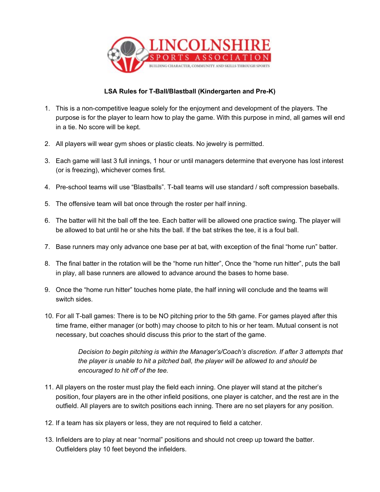

## **LSA Rules for T-Ball/Blastball (Kindergarten and Pre-K)**

- 1. This is a non-competitive league solely for the enjoyment and development of the players. The purpose is for the player to learn how to play the game. With this purpose in mind, all games will end in a tie. No score will be kept.
- 2. All players will wear gym shoes or plastic cleats. No jewelry is permitted.
- 3. Each game will last 3 full innings, 1 hour or until managers determine that everyone has lost interest (or is freezing), whichever comes first.
- 4. Pre-school teams will use "Blastballs". T-ball teams will use standard / soft compression baseballs.
- 5. The offensive team will bat once through the roster per half inning.
- 6. The batter will hit the ball off the tee. Each batter will be allowed one practice swing. The player will be allowed to bat until he or she hits the ball. If the bat strikes the tee, it is a foul ball.
- 7. Base runners may only advance one base per at bat, with exception of the final "home run" batter.
- 8. The final batter in the rotation will be the "home run hitter", Once the "home run hitter", puts the ball in play, all base runners are allowed to advance around the bases to home base.
- 9. Once the "home run hitter" touches home plate, the half inning will conclude and the teams will switch sides.
- 10. For all T-ball games: There is to be NO pitching prior to the 5th game. For games played after this time frame, either manager (or both) may choose to pitch to his or her team. Mutual consent is not necessary, but coaches should discuss this prior to the start of the game.

*Decision to begin pitching is within the Manager's/Coach's discretion. If after 3 attempts that the player is unable to hit a pitched ball, the player will be allowed to and should be encouraged to hit off of the tee.*

- 11. All players on the roster must play the field each inning. One player will stand at the pitcher's position, four players are in the other infield positions, one player is catcher, and the rest are in the outfield. All players are to switch positions each inning. There are no set players for any position.
- 12. If a team has six players or less, they are not required to field a catcher.
- 13. Infielders are to play at near "normal" positions and should not creep up toward the batter. Outfielders play 10 feet beyond the infielders.